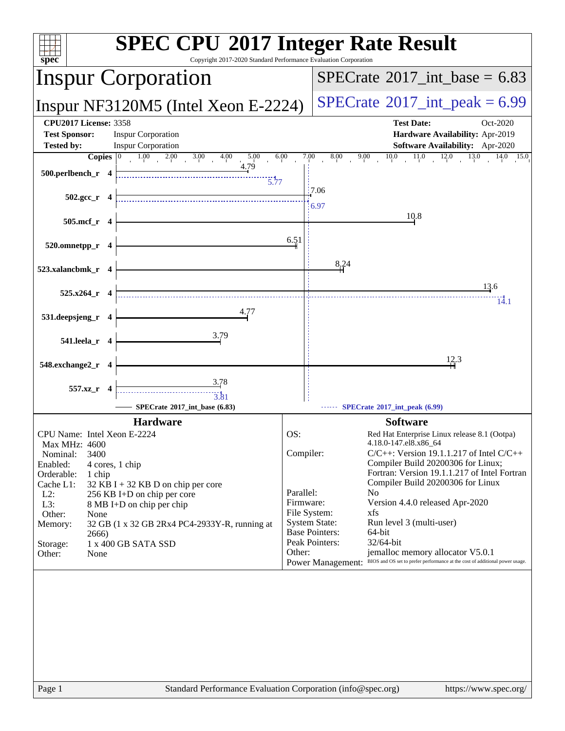| spec <sup>®</sup>                                                                                                                   | <b>SPEC CPU®2017 Integer Rate Result</b><br>Copyright 2017-2020 Standard Performance Evaluation Corporation                                     |
|-------------------------------------------------------------------------------------------------------------------------------------|-------------------------------------------------------------------------------------------------------------------------------------------------|
| <b>Inspur Corporation</b>                                                                                                           | $SPECTate$ <sup>®</sup> 2017_int_base = 6.83                                                                                                    |
| Inspur NF3120M5 (Intel Xeon E-2224)                                                                                                 | $SPECTate^{\circ}2017\_int\_peak = 6.99$                                                                                                        |
| <b>CPU2017 License: 3358</b><br><b>Inspur Corporation</b><br><b>Test Sponsor:</b><br><b>Inspur Corporation</b><br><b>Tested by:</b> | <b>Test Date:</b><br>Oct-2020<br>Hardware Availability: Apr-2019<br><b>Software Availability:</b> Apr-2020                                      |
| $1.00$ $2.00$ $3.00$ $4.00$<br>Copies $ 0\rangle$<br>5.00<br>4.79<br>$500.$ perlbench_r 4<br>$\frac{1}{5.77}$                       | $8.00 \qquad 9.00 \qquad 10.0 \qquad 11.0 \qquad 12.0 \qquad 13.0 \qquad 14.0 \qquad 15.0$<br>6.00<br>7.00<br>:7.06                             |
| $502.\text{gcc}_r$ 4                                                                                                                | 6.97                                                                                                                                            |
| 505.mcf_r 4                                                                                                                         | 10.8                                                                                                                                            |
| 520.omnetpp_r 4                                                                                                                     | 6.51                                                                                                                                            |
| 523.xalancbmk r 4                                                                                                                   | 8,24<br>13.6                                                                                                                                    |
| $525.x264$ <sub>r</sub> 4                                                                                                           | 14.1                                                                                                                                            |
| 531.deepsjeng_r 4                                                                                                                   |                                                                                                                                                 |
| 3.79<br>541.leela_r 4                                                                                                               |                                                                                                                                                 |
| 548.exchange2_r 4                                                                                                                   | 12.3                                                                                                                                            |
| 3.78<br>557.xz_r 4<br>$\frac{1}{3.81}$<br>SPECrate®2017_int_base (6.83)                                                             | SPECrate*2017_int_peak (6.99)                                                                                                                   |
| <b>Hardware</b>                                                                                                                     | <b>Software</b>                                                                                                                                 |
| CPU Name: Intel Xeon E-2224<br>Max MHz: 4600                                                                                        | OS:<br>Red Hat Enterprise Linux release 8.1 (Ootpa)<br>4.18.0-147.el8.x86 64                                                                    |
| 3400<br>Nominal:                                                                                                                    | Compiler:<br>$C/C++$ : Version 19.1.1.217 of Intel $C/C++$                                                                                      |
| Enabled:<br>4 cores, 1 chip<br>Orderable:                                                                                           | Compiler Build 20200306 for Linux;<br>Fortran: Version 19.1.1.217 of Intel Fortran                                                              |
| 1 chip<br>Cache L1:<br>$32$ KB I + 32 KB D on chip per core                                                                         | Compiler Build 20200306 for Linux                                                                                                               |
| $L2$ :<br>256 KB I+D on chip per core                                                                                               | Parallel:<br>N <sub>0</sub><br>Firmware:<br>Version 4.4.0 released Apr-2020                                                                     |
| L3:<br>8 MB I+D on chip per chip<br>Other:<br>None                                                                                  | File System:<br>xfs                                                                                                                             |
| Memory:<br>32 GB (1 x 32 GB 2Rx4 PC4-2933Y-R, running at<br>2666)                                                                   | <b>System State:</b><br>Run level 3 (multi-user)<br><b>Base Pointers:</b><br>64-bit                                                             |
| 1 x 400 GB SATA SSD<br>Storage:                                                                                                     | Peak Pointers:<br>32/64-bit                                                                                                                     |
| Other:<br>None                                                                                                                      | jemalloc memory allocator V5.0.1<br>Other:<br>BIOS and OS set to prefer performance at the cost of additional power usage.<br>Power Management: |
|                                                                                                                                     |                                                                                                                                                 |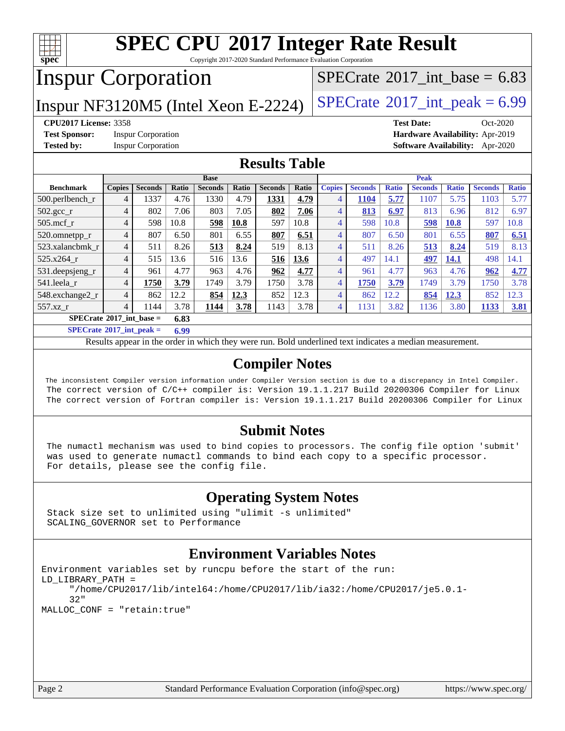

Copyright 2017-2020 Standard Performance Evaluation Corporation

# Inspur Corporation

Inspur NF3120M5 (Intel Xeon E-2224) [SPECrate](http://www.spec.org/auto/cpu2017/Docs/result-fields.html#SPECrate2017intpeak)<sup>®</sup>[2017\\_int\\_peak =](http://www.spec.org/auto/cpu2017/Docs/result-fields.html#SPECrate2017intpeak)  $6.99$ 

[SPECrate](http://www.spec.org/auto/cpu2017/Docs/result-fields.html#SPECrate2017intbase)®2017 int\_base =  $6.83$ 

**[Test Sponsor:](http://www.spec.org/auto/cpu2017/Docs/result-fields.html#TestSponsor)** Inspur Corporation **[Hardware Availability:](http://www.spec.org/auto/cpu2017/Docs/result-fields.html#HardwareAvailability)** Apr-2019

**[CPU2017 License:](http://www.spec.org/auto/cpu2017/Docs/result-fields.html#CPU2017License)** 3358 **[Test Date:](http://www.spec.org/auto/cpu2017/Docs/result-fields.html#TestDate)** Oct-2020 **[Tested by:](http://www.spec.org/auto/cpu2017/Docs/result-fields.html#Testedby)** Inspur Corporation **[Software Availability:](http://www.spec.org/auto/cpu2017/Docs/result-fields.html#SoftwareAvailability)** Apr-2020

#### **[Results Table](http://www.spec.org/auto/cpu2017/Docs/result-fields.html#ResultsTable)**

|                                           | <b>Base</b>    |                |       |                | <b>Peak</b> |                |       |                |                |              |                |              |                |              |
|-------------------------------------------|----------------|----------------|-------|----------------|-------------|----------------|-------|----------------|----------------|--------------|----------------|--------------|----------------|--------------|
| <b>Benchmark</b>                          | <b>Copies</b>  | <b>Seconds</b> | Ratio | <b>Seconds</b> | Ratio       | <b>Seconds</b> | Ratio | <b>Copies</b>  | <b>Seconds</b> | <b>Ratio</b> | <b>Seconds</b> | <b>Ratio</b> | <b>Seconds</b> | <b>Ratio</b> |
| $500$ .perlbench r                        | 4              | 1337           | 4.76  | 1330           | 4.79        | 1331           | 4.79  | 4              | 1104           | 5.77         | 1107           | 5.75         | 103            | 5.77         |
| $502.\text{sec}$                          | 4              | 802            | 7.06  | 803            | 7.05        | 802            | 7.06  | 4              | 813            | 6.97         | 813            | 6.96         | 812            | 6.97         |
| $505$ .mcf r                              | 4              | 598            | 10.8  | 598            | 10.8        | 597            | 10.8  | 4              | 598            | 10.8         | 598            | <b>10.8</b>  | 597            | 10.8         |
| 520.omnetpp_r                             | 4              | 807            | 6.50  | 801            | 6.55        | 807            | 6.51  | $\overline{4}$ | 807            | 6.50         | 801            | 6.55         | 807            | 6.51         |
| 523.xalancbmk r                           | $\overline{4}$ | 511            | 8.26  | 513            | 8.24        | 519            | 8.13  | 4              | 511            | 8.26         | 513            | 8.24         | 519            | 8.13         |
| 525.x264 r                                | 4              | 515            | 13.6  | 516            | 13.6        | 516            | 13.6  | 4              | 497            | 14.1         | 497            | 14.1         | 498            | 14.1         |
| 531.deepsjeng_r                           | $\overline{4}$ | 961            | 4.77  | 963            | 4.76        | 962            | 4.77  | 4              | 961            | 4.77         | 963            | 4.76         | 962            | 4.77         |
| 541.leela r                               | $\overline{4}$ | 1750           | 3.79  | 1749           | 3.79        | 1750           | 3.78  | 4              | 1750           | 3.79         | 1749           | 3.79         | 750            | 3.78         |
| 548.exchange2_r                           | 4              | 862            | 12.2  | 854            | 12.3        | 852            | 12.3  | 4              | 862            | 12.2         | 854            | 12.3         | 852            | 12.3         |
| 557.xz r                                  | 4              | 1144           | 3.78  | 1144           | 3.78        | 1143           | 3.78  | 4              | 1131           | 3.82         | 1136           | 3.80         | 1133           | 3.81         |
| $SPECrate^{\circ}2017$ int base =<br>6.83 |                |                |       |                |             |                |       |                |                |              |                |              |                |              |

**[SPECrate](http://www.spec.org/auto/cpu2017/Docs/result-fields.html#SPECrate2017intpeak)[2017\\_int\\_peak =](http://www.spec.org/auto/cpu2017/Docs/result-fields.html#SPECrate2017intpeak) 6.99**

Results appear in the [order in which they were run.](http://www.spec.org/auto/cpu2017/Docs/result-fields.html#RunOrder) Bold underlined text [indicates a median measurement.](http://www.spec.org/auto/cpu2017/Docs/result-fields.html#Median)

#### **[Compiler Notes](http://www.spec.org/auto/cpu2017/Docs/result-fields.html#CompilerNotes)**

 The inconsistent Compiler version information under Compiler Version section is due to a discrepancy in Intel Compiler. The correct version of C/C++ compiler is: Version 19.1.1.217 Build 20200306 Compiler for Linux The correct version of Fortran compiler is: Version 19.1.1.217 Build 20200306 Compiler for Linux

#### **[Submit Notes](http://www.spec.org/auto/cpu2017/Docs/result-fields.html#SubmitNotes)**

 The numactl mechanism was used to bind copies to processors. The config file option 'submit' was used to generate numactl commands to bind each copy to a specific processor. For details, please see the config file.

#### **[Operating System Notes](http://www.spec.org/auto/cpu2017/Docs/result-fields.html#OperatingSystemNotes)**

 Stack size set to unlimited using "ulimit -s unlimited" SCALING\_GOVERNOR set to Performance

#### **[Environment Variables Notes](http://www.spec.org/auto/cpu2017/Docs/result-fields.html#EnvironmentVariablesNotes)**

```
Environment variables set by runcpu before the start of the run:
LD_LIBRARY_PATH =
      "/home/CPU2017/lib/intel64:/home/CPU2017/lib/ia32:/home/CPU2017/je5.0.1-
      32"
MALLOC_CONF = "retain:true"
```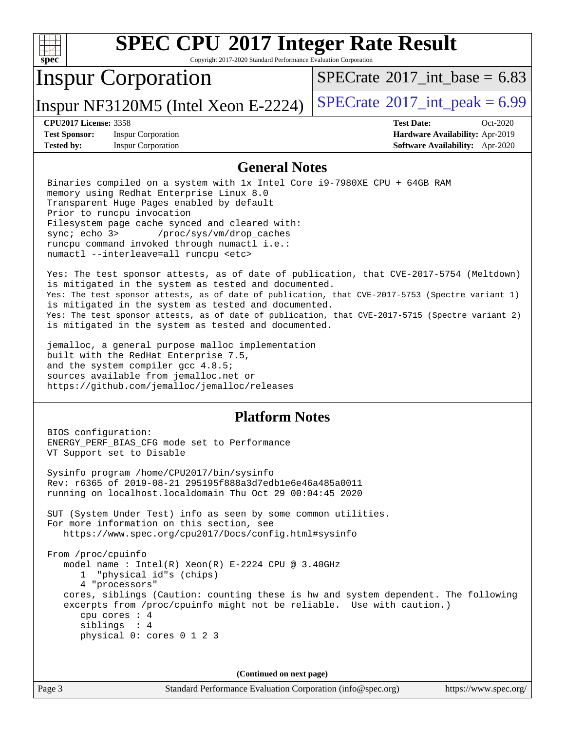

Copyright 2017-2020 Standard Performance Evaluation Corporation

## Inspur Corporation

[SPECrate](http://www.spec.org/auto/cpu2017/Docs/result-fields.html#SPECrate2017intbase)®2017 int\_base =  $6.83$ 

Inspur NF3120M5 (Intel Xeon E-2224)  $|SPECrate^{\circ}2017\_int\_peak = 6.99$  $|SPECrate^{\circ}2017\_int\_peak = 6.99$  $|SPECrate^{\circ}2017\_int\_peak = 6.99$ 

**[Test Sponsor:](http://www.spec.org/auto/cpu2017/Docs/result-fields.html#TestSponsor)** Inspur Corporation **[Hardware Availability:](http://www.spec.org/auto/cpu2017/Docs/result-fields.html#HardwareAvailability)** Apr-2019 **[Tested by:](http://www.spec.org/auto/cpu2017/Docs/result-fields.html#Testedby)** Inspur Corporation **[Software Availability:](http://www.spec.org/auto/cpu2017/Docs/result-fields.html#SoftwareAvailability)** Apr-2020

**[CPU2017 License:](http://www.spec.org/auto/cpu2017/Docs/result-fields.html#CPU2017License)** 3358 **[Test Date:](http://www.spec.org/auto/cpu2017/Docs/result-fields.html#TestDate)** Oct-2020

#### **[General Notes](http://www.spec.org/auto/cpu2017/Docs/result-fields.html#GeneralNotes)**

 Binaries compiled on a system with 1x Intel Core i9-7980XE CPU + 64GB RAM memory using Redhat Enterprise Linux 8.0 Transparent Huge Pages enabled by default Prior to runcpu invocation Filesystem page cache synced and cleared with: sync; echo 3> /proc/sys/vm/drop\_caches runcpu command invoked through numactl i.e.: numactl --interleave=all runcpu <etc>

 Yes: The test sponsor attests, as of date of publication, that CVE-2017-5754 (Meltdown) is mitigated in the system as tested and documented. Yes: The test sponsor attests, as of date of publication, that CVE-2017-5753 (Spectre variant 1) is mitigated in the system as tested and documented. Yes: The test sponsor attests, as of date of publication, that CVE-2017-5715 (Spectre variant 2) is mitigated in the system as tested and documented.

 jemalloc, a general purpose malloc implementation built with the RedHat Enterprise 7.5, and the system compiler gcc 4.8.5; sources available from jemalloc.net or <https://github.com/jemalloc/jemalloc/releases>

#### **[Platform Notes](http://www.spec.org/auto/cpu2017/Docs/result-fields.html#PlatformNotes)**

 BIOS configuration: ENERGY\_PERF\_BIAS\_CFG mode set to Performance VT Support set to Disable

 Sysinfo program /home/CPU2017/bin/sysinfo Rev: r6365 of 2019-08-21 295195f888a3d7edb1e6e46a485a0011 running on localhost.localdomain Thu Oct 29 00:04:45 2020

 SUT (System Under Test) info as seen by some common utilities. For more information on this section, see <https://www.spec.org/cpu2017/Docs/config.html#sysinfo>

 From /proc/cpuinfo model name : Intel(R) Xeon(R) E-2224 CPU @ 3.40GHz 1 "physical id"s (chips) 4 "processors" cores, siblings (Caution: counting these is hw and system dependent. The following excerpts from /proc/cpuinfo might not be reliable. Use with caution.) cpu cores : 4 siblings : 4 physical 0: cores 0 1 2 3

**(Continued on next page)**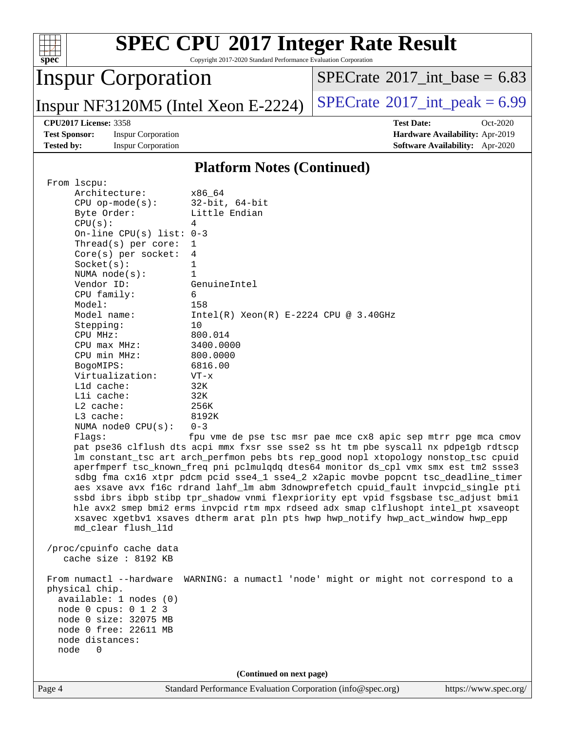

Copyright 2017-2020 Standard Performance Evaluation Corporation

# Inspur Corporation

 $SPECTate$ <sup>®</sup>[2017\\_int\\_base =](http://www.spec.org/auto/cpu2017/Docs/result-fields.html#SPECrate2017intbase) 6.83

Inspur NF3120M5 (Intel Xeon E-2224)  $SPECTate$ <sup>®</sup>[2017\\_int\\_peak =](http://www.spec.org/auto/cpu2017/Docs/result-fields.html#SPECrate2017intpeak) 6.99

**[Test Sponsor:](http://www.spec.org/auto/cpu2017/Docs/result-fields.html#TestSponsor)** Inspur Corporation **[Hardware Availability:](http://www.spec.org/auto/cpu2017/Docs/result-fields.html#HardwareAvailability)** Apr-2019

**[CPU2017 License:](http://www.spec.org/auto/cpu2017/Docs/result-fields.html#CPU2017License)** 3358 **[Test Date:](http://www.spec.org/auto/cpu2017/Docs/result-fields.html#TestDate)** Oct-2020 **[Tested by:](http://www.spec.org/auto/cpu2017/Docs/result-fields.html#Testedby)** Inspur Corporation **[Software Availability:](http://www.spec.org/auto/cpu2017/Docs/result-fields.html#SoftwareAvailability)** Apr-2020

#### **[Platform Notes \(Continued\)](http://www.spec.org/auto/cpu2017/Docs/result-fields.html#PlatformNotes)**

| From 1scpu:                |                                                                                      |                       |  |  |  |
|----------------------------|--------------------------------------------------------------------------------------|-----------------------|--|--|--|
| Architecture:              | x86 64                                                                               |                       |  |  |  |
| $CPU$ op-mode( $s$ ):      | $32$ -bit, $64$ -bit                                                                 |                       |  |  |  |
| Byte Order:                | Little Endian                                                                        |                       |  |  |  |
| CPU(s):                    | 4                                                                                    |                       |  |  |  |
| On-line CPU(s) list: $0-3$ |                                                                                      |                       |  |  |  |
| Thread(s) per core:        | 1                                                                                    |                       |  |  |  |
| Core(s) per socket:        | 4                                                                                    |                       |  |  |  |
| Socket(s):                 | $\mathbf 1$                                                                          |                       |  |  |  |
| NUMA $node(s)$ :           | $\mathbf{1}$                                                                         |                       |  |  |  |
| Vendor ID:                 | GenuineIntel                                                                         |                       |  |  |  |
| CPU family:                | 6                                                                                    |                       |  |  |  |
| Model:                     | 158                                                                                  |                       |  |  |  |
| Model name:                | $Intel(R) Xeon(R) E-2224 CPU @ 3.40GHz$                                              |                       |  |  |  |
| Stepping:                  | 10                                                                                   |                       |  |  |  |
| CPU MHz:                   | 800.014                                                                              |                       |  |  |  |
| $CPU$ max $MHz$ :          | 3400.0000                                                                            |                       |  |  |  |
| CPU min MHz:               | 800.0000                                                                             |                       |  |  |  |
| BogoMIPS:                  | 6816.00                                                                              |                       |  |  |  |
| Virtualization:            | $VT - x$                                                                             |                       |  |  |  |
| $L1d$ cache:               | 32K                                                                                  |                       |  |  |  |
| Lli cache:                 | 32K                                                                                  |                       |  |  |  |
| $L2$ cache:                | 256K                                                                                 |                       |  |  |  |
| L3 cache:                  | 8192K                                                                                |                       |  |  |  |
| NUMA node0 CPU(s):         | $0 - 3$                                                                              |                       |  |  |  |
| Flags:                     | fpu vme de pse tsc msr pae mce cx8 apic sep mtrr pge mca cmov                        |                       |  |  |  |
|                            | pat pse36 clflush dts acpi mmx fxsr sse sse2 ss ht tm pbe syscall nx pdpelgb rdtscp  |                       |  |  |  |
|                            | lm constant_tsc art arch_perfmon pebs bts rep_good nopl xtopology nonstop_tsc cpuid  |                       |  |  |  |
|                            | aperfmperf tsc_known_freq pni pclmulqdq dtes64 monitor ds_cpl vmx smx est tm2 ssse3  |                       |  |  |  |
|                            | sdbg fma cx16 xtpr pdcm pcid sse4_1 sse4_2 x2apic movbe popcnt tsc_deadline_timer    |                       |  |  |  |
|                            | aes xsave avx f16c rdrand lahf_lm abm 3dnowprefetch cpuid_fault invpcid_single pti   |                       |  |  |  |
|                            | ssbd ibrs ibpb stibp tpr_shadow vnmi flexpriority ept vpid fsgsbase tsc_adjust bmil  |                       |  |  |  |
|                            | hle avx2 smep bmi2 erms invpcid rtm mpx rdseed adx smap clflushopt intel_pt xsaveopt |                       |  |  |  |
|                            | xsavec xgetbvl xsaves dtherm arat pln pts hwp hwp_notify hwp_act_window hwp_epp      |                       |  |  |  |
| md_clear flush_11d         |                                                                                      |                       |  |  |  |
|                            |                                                                                      |                       |  |  |  |
| /proc/cpuinfo cache data   |                                                                                      |                       |  |  |  |
| cache size : 8192 KB       |                                                                                      |                       |  |  |  |
|                            |                                                                                      |                       |  |  |  |
| From numactl --hardware    | WARNING: a numactl 'node' might or might not correspond to a                         |                       |  |  |  |
| physical chip.             |                                                                                      |                       |  |  |  |
| available: 1 nodes (0)     |                                                                                      |                       |  |  |  |
| node 0 cpus: 0 1 2 3       |                                                                                      |                       |  |  |  |
| node 0 size: 32075 MB      |                                                                                      |                       |  |  |  |
| node 0 free: 22611 MB      |                                                                                      |                       |  |  |  |
| node distances:            |                                                                                      |                       |  |  |  |
| node<br>0                  |                                                                                      |                       |  |  |  |
|                            |                                                                                      |                       |  |  |  |
| (Continued on next page)   |                                                                                      |                       |  |  |  |
| Page 4                     | Standard Performance Evaluation Corporation (info@spec.org)                          | https://www.spec.org/ |  |  |  |
|                            |                                                                                      |                       |  |  |  |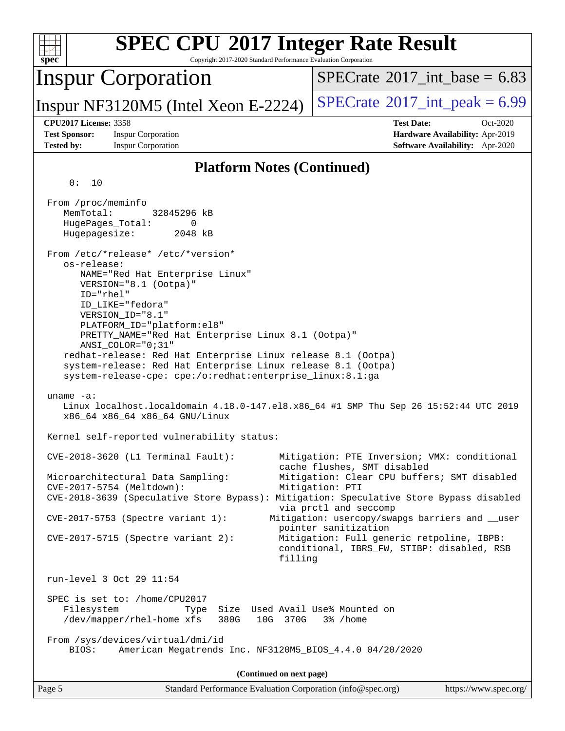| <b>SPEC CPU®2017 Integer Rate Result</b><br>Copyright 2017-2020 Standard Performance Evaluation Corporation<br>spec <sup>®</sup>                                                                                                                                                                                                                                                                                                                                                                                                                                                              |                                                                                                                                                                                                                |
|-----------------------------------------------------------------------------------------------------------------------------------------------------------------------------------------------------------------------------------------------------------------------------------------------------------------------------------------------------------------------------------------------------------------------------------------------------------------------------------------------------------------------------------------------------------------------------------------------|----------------------------------------------------------------------------------------------------------------------------------------------------------------------------------------------------------------|
| <b>Inspur Corporation</b>                                                                                                                                                                                                                                                                                                                                                                                                                                                                                                                                                                     | $SPECTate$ <sup>®</sup> 2017_int_base = 6.83                                                                                                                                                                   |
| Inspur NF3120M5 (Intel Xeon E-2224)                                                                                                                                                                                                                                                                                                                                                                                                                                                                                                                                                           | $SPECrate^{\circ}2017\_int\_peak = 6.99$                                                                                                                                                                       |
| <b>CPU2017 License: 3358</b><br><b>Test Sponsor:</b><br><b>Inspur Corporation</b><br><b>Tested by:</b><br><b>Inspur Corporation</b>                                                                                                                                                                                                                                                                                                                                                                                                                                                           | <b>Test Date:</b><br>Oct-2020<br>Hardware Availability: Apr-2019<br>Software Availability: Apr-2020                                                                                                            |
| <b>Platform Notes (Continued)</b>                                                                                                                                                                                                                                                                                                                                                                                                                                                                                                                                                             |                                                                                                                                                                                                                |
| 0:<br>10<br>From /proc/meminfo<br>MemTotal:<br>32845296 kB<br>HugePages_Total:<br>0<br>Hugepagesize:<br>2048 kB<br>From /etc/*release* /etc/*version*<br>os-release:<br>NAME="Red Hat Enterprise Linux"<br>VERSION="8.1 (Ootpa)"<br>$ID="rhe1"$<br>ID_LIKE="fedora"<br>VERSION_ID="8.1"<br>PLATFORM_ID="platform:el8"<br>PRETTY_NAME="Red Hat Enterprise Linux 8.1 (Ootpa)"<br>ANSI_COLOR="0;31"<br>redhat-release: Red Hat Enterprise Linux release 8.1 (Ootpa)<br>system-release: Red Hat Enterprise Linux release 8.1 (Ootpa)<br>system-release-cpe: cpe:/o:redhat:enterprise_linux:8.1:ga |                                                                                                                                                                                                                |
| uname $-a$ :<br>Linux localhost.localdomain 4.18.0-147.el8.x86_64 #1 SMP Thu Sep 26 15:52:44 UTC 2019<br>x86_64 x86_64 x86_64 GNU/Linux                                                                                                                                                                                                                                                                                                                                                                                                                                                       |                                                                                                                                                                                                                |
| Kernel self-reported vulnerability status:<br>$CVE-2018-3620$ (L1 Terminal Fault):<br>Microarchitectural Data Sampling:                                                                                                                                                                                                                                                                                                                                                                                                                                                                       | Mitigation: PTE Inversion; VMX: conditional<br>cache flushes, SMT disabled<br>Mitigation: Clear CPU buffers; SMT disabled                                                                                      |
| CVE-2017-5754 (Meltdown):<br>CVE-2018-3639 (Speculative Store Bypass): Mitigation: Speculative Store Bypass disabled<br>CVE-2017-5753 (Spectre variant 1):<br>$CVE-2017-5715$ (Spectre variant 2):<br>filling                                                                                                                                                                                                                                                                                                                                                                                 | Mitigation: PTI<br>via prctl and seccomp<br>Mitigation: usercopy/swapgs barriers and __user<br>pointer sanitization<br>Mitigation: Full generic retpoline, IBPB:<br>conditional, IBRS_FW, STIBP: disabled, RSB |
| run-level 3 Oct 29 11:54<br>SPEC is set to: /home/CPU2017                                                                                                                                                                                                                                                                                                                                                                                                                                                                                                                                     |                                                                                                                                                                                                                |
| Filesystem<br>Size Used Avail Use% Mounted on<br>Type<br>/dev/mapper/rhel-home xfs<br>380G 10G 370G                                                                                                                                                                                                                                                                                                                                                                                                                                                                                           | 3% /home                                                                                                                                                                                                       |
| From /sys/devices/virtual/dmi/id<br>American Megatrends Inc. NF3120M5_BIOS_4.4.0 04/20/2020<br>BIOS:                                                                                                                                                                                                                                                                                                                                                                                                                                                                                          |                                                                                                                                                                                                                |
| (Continued on next page)                                                                                                                                                                                                                                                                                                                                                                                                                                                                                                                                                                      |                                                                                                                                                                                                                |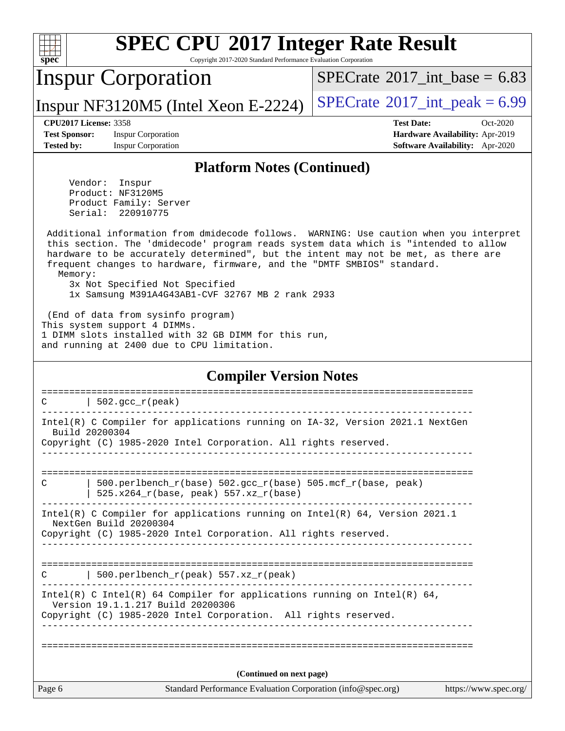

Copyright 2017-2020 Standard Performance Evaluation Corporation

## Inspur Corporation

[SPECrate](http://www.spec.org/auto/cpu2017/Docs/result-fields.html#SPECrate2017intbase)<sup>®</sup>2017 int\_base = 6.83

Inspur NF3120M5 (Intel Xeon E-2224)  $|SPECrate^{\circ}2017\_int\_peak = 6.99$  $|SPECrate^{\circ}2017\_int\_peak = 6.99$  $|SPECrate^{\circ}2017\_int\_peak = 6.99$ 

**[Test Sponsor:](http://www.spec.org/auto/cpu2017/Docs/result-fields.html#TestSponsor)** Inspur Corporation **[Hardware Availability:](http://www.spec.org/auto/cpu2017/Docs/result-fields.html#HardwareAvailability)** Apr-2019 **[Tested by:](http://www.spec.org/auto/cpu2017/Docs/result-fields.html#Testedby)** Inspur Corporation **[Software Availability:](http://www.spec.org/auto/cpu2017/Docs/result-fields.html#SoftwareAvailability)** Apr-2020

**[CPU2017 License:](http://www.spec.org/auto/cpu2017/Docs/result-fields.html#CPU2017License)** 3358 **[Test Date:](http://www.spec.org/auto/cpu2017/Docs/result-fields.html#TestDate)** Oct-2020

#### **[Platform Notes \(Continued\)](http://www.spec.org/auto/cpu2017/Docs/result-fields.html#PlatformNotes)**

 Vendor: Inspur Product: NF3120M5 Product Family: Server Serial: 220910775

 Additional information from dmidecode follows. WARNING: Use caution when you interpret this section. The 'dmidecode' program reads system data which is "intended to allow hardware to be accurately determined", but the intent may not be met, as there are frequent changes to hardware, firmware, and the "DMTF SMBIOS" standard. Memory:

 3x Not Specified Not Specified 1x Samsung M391A4G43AB1-CVF 32767 MB 2 rank 2933

 (End of data from sysinfo program) This system support 4 DIMMs. 1 DIMM slots installed with 32 GB DIMM for this run, and running at 2400 due to CPU limitation.

#### **[Compiler Version Notes](http://www.spec.org/auto/cpu2017/Docs/result-fields.html#CompilerVersionNotes)**

| 502.gcc_r(peak)<br>C                                                                                                                                                             |
|----------------------------------------------------------------------------------------------------------------------------------------------------------------------------------|
| Intel(R) C Compiler for applications running on IA-32, Version 2021.1 NextGen<br>Build 20200304<br>Copyright (C) 1985-2020 Intel Corporation. All rights reserved.               |
|                                                                                                                                                                                  |
| $500. perlbench_r(base) 502. gcc_r(base) 505.mcf_r(base, peak)$<br>C<br>$525.x264_r(base, peak) 557.xz_r(base)$                                                                  |
| Intel(R) C Compiler for applications running on Intel(R) $64$ , Version 2021.1<br>NextGen Build 20200304<br>Copyright (C) 1985-2020 Intel Corporation. All rights reserved.      |
| ===============<br>  500.perlbench $r(\text{peak})$ 557.xz $r(\text{peak})$<br>C                                                                                                 |
| Intel(R) C Intel(R) 64 Compiler for applications running on Intel(R) 64,<br>Version 19.1.1.217 Build 20200306<br>Copyright (C) 1985-2020 Intel Corporation. All rights reserved. |
| (Continued on next page)                                                                                                                                                         |
| Page 6<br>Standard Performance Evaluation Corporation (info@spec.org)<br>https://www.spec.org/                                                                                   |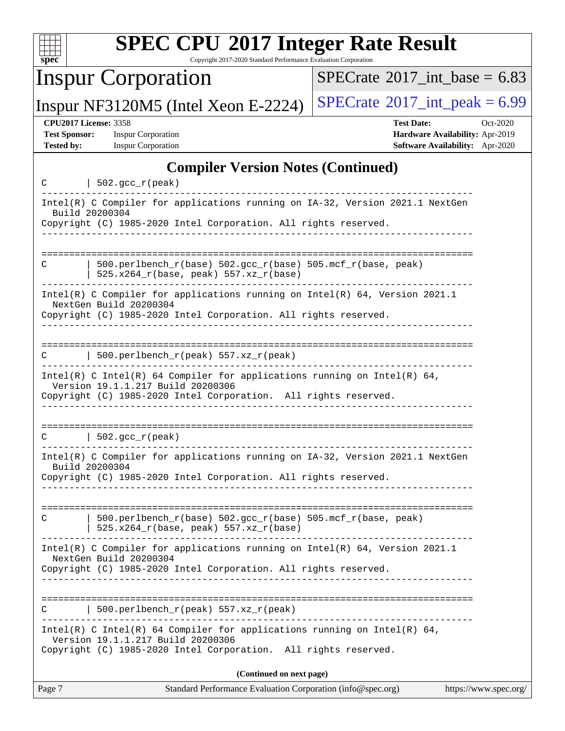| $spec^*$                                                                  | <b>SPEC CPU®2017 Integer Rate Result</b><br>Copyright 2017-2020 Standard Performance Evaluation Corporation                                                                        |                                              |                                                                                |
|---------------------------------------------------------------------------|------------------------------------------------------------------------------------------------------------------------------------------------------------------------------------|----------------------------------------------|--------------------------------------------------------------------------------|
|                                                                           | <b>Inspur Corporation</b>                                                                                                                                                          | $SPECTate$ <sup>®</sup> 2017_int_base = 6.83 |                                                                                |
|                                                                           | Inspur NF3120M5 (Intel Xeon E-2224)                                                                                                                                                | $SPECrate^{\circ}2017\_int\_peak = 6.99$     |                                                                                |
| <b>CPU2017 License: 3358</b><br><b>Test Sponsor:</b><br><b>Tested by:</b> | <b>Inspur Corporation</b><br><b>Inspur Corporation</b>                                                                                                                             | <b>Test Date:</b>                            | Oct-2020<br>Hardware Availability: Apr-2019<br>Software Availability: Apr-2020 |
|                                                                           | <b>Compiler Version Notes (Continued)</b>                                                                                                                                          |                                              |                                                                                |
| C                                                                         | $  502.\text{gcc_r(peak)}$                                                                                                                                                         |                                              |                                                                                |
| Build 20200304                                                            | Intel(R) C Compiler for applications running on IA-32, Version 2021.1 NextGen<br>Copyright (C) 1985-2020 Intel Corporation. All rights reserved.                                   |                                              |                                                                                |
| C                                                                         | 500.perlbench_r(base) 502.gcc_r(base) 505.mcf_r(base, peak)<br>525.x264_r(base, peak) 557.xz_r(base)                                                                               |                                              |                                                                                |
|                                                                           | Intel(R) C Compiler for applications running on Intel(R) 64, Version 2021.1<br>NextGen Build 20200304<br>Copyright (C) 1985-2020 Intel Corporation. All rights reserved.           |                                              |                                                                                |
| С                                                                         | 500.perlbench_r(peak) 557.xz_r(peak)                                                                                                                                               |                                              |                                                                                |
|                                                                           | $Intel(R)$ C Intel(R) 64 Compiler for applications running on Intel(R) 64,<br>Version 19.1.1.217 Build 20200306<br>Copyright (C) 1985-2020 Intel Corporation. All rights reserved. |                                              |                                                                                |
| С                                                                         | 502.gcc_r(peak)                                                                                                                                                                    |                                              |                                                                                |
| Build 20200304                                                            | Intel(R) C Compiler for applications running on IA-32, Version 2021.1 NextGen<br>Copyright (C) 1985-2020 Intel Corporation. All rights reserved.<br><u> - - - - - - - - - - -</u>  |                                              |                                                                                |
| C                                                                         | 500.perlbench_r(base) 502.gcc_r(base) 505.mcf_r(base, peak)<br>525.x264_r(base, peak) 557.xz_r(base)                                                                               |                                              |                                                                                |
|                                                                           | Intel(R) C Compiler for applications running on $Intel(R) 64$ , Version 2021.1<br>NextGen Build 20200304<br>Copyright (C) 1985-2020 Intel Corporation. All rights reserved.        |                                              |                                                                                |
|                                                                           | 500.perlbench_r(peak) 557.xz_r(peak)                                                                                                                                               |                                              |                                                                                |
|                                                                           | Intel(R) C Intel(R) 64 Compiler for applications running on Intel(R) 64,<br>Version 19.1.1.217 Build 20200306<br>Copyright (C) 1985-2020 Intel Corporation. All rights reserved.   |                                              |                                                                                |
|                                                                           | (Continued on next page)                                                                                                                                                           |                                              |                                                                                |
| Page 7                                                                    | Standard Performance Evaluation Corporation (info@spec.org)                                                                                                                        |                                              | https://www.spec.org/                                                          |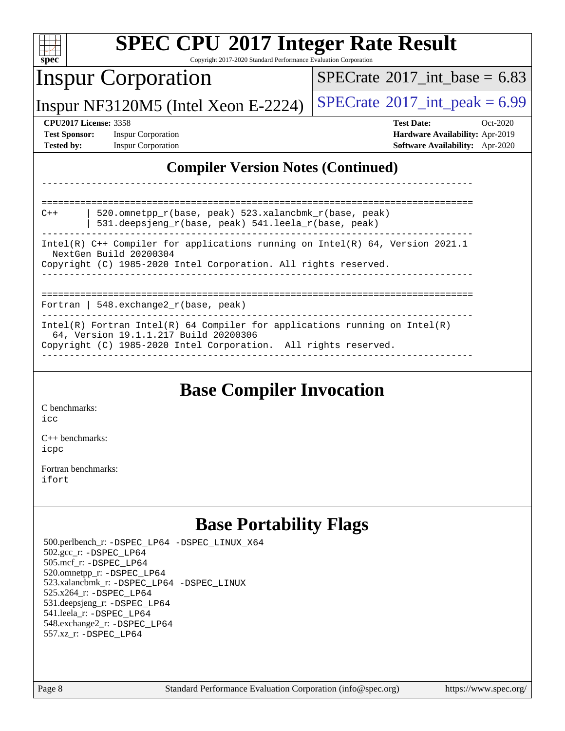| <b>SPEC CPU®2017 Integer Rate Result</b>                                                                                                                                               |                                              |  |  |  |  |
|----------------------------------------------------------------------------------------------------------------------------------------------------------------------------------------|----------------------------------------------|--|--|--|--|
| $spec^*$<br>Copyright 2017-2020 Standard Performance Evaluation Corporation                                                                                                            |                                              |  |  |  |  |
| <b>Inspur Corporation</b>                                                                                                                                                              | $SPECTate$ <sup>®</sup> 2017_int_base = 6.83 |  |  |  |  |
| Inspur NF3120M5 (Intel Xeon E-2224)                                                                                                                                                    | $SPECrate@2017_int\_peak = 6.99$             |  |  |  |  |
| <b>CPU2017 License: 3358</b>                                                                                                                                                           | <b>Test Date:</b><br>$Oct-2020$              |  |  |  |  |
| <b>Test Sponsor:</b><br><b>Inspur Corporation</b>                                                                                                                                      | Hardware Availability: Apr-2019              |  |  |  |  |
| <b>Tested by:</b><br><b>Inspur Corporation</b>                                                                                                                                         | Software Availability: Apr-2020              |  |  |  |  |
| <b>Compiler Version Notes (Continued)</b>                                                                                                                                              |                                              |  |  |  |  |
| 520.omnetpp r(base, peak) 523.xalancbmk r(base, peak)<br>$C++$<br>531.deepsjeng_r(base, peak) 541.leela_r(base, peak)                                                                  |                                              |  |  |  |  |
| Intel(R) $C++$ Compiler for applications running on Intel(R) 64, Version 2021.1<br>NextGen Build 20200304<br>Copyright (C) 1985-2020 Intel Corporation. All rights reserved.           |                                              |  |  |  |  |
| Fortran   548.exchange2_r(base, peak)                                                                                                                                                  |                                              |  |  |  |  |
| Intel(R) Fortran Intel(R) 64 Compiler for applications running on Intel(R)<br>64, Version 19.1.1.217 Build 20200306<br>Copyright (C) 1985-2020 Intel Corporation. All rights reserved. |                                              |  |  |  |  |
|                                                                                                                                                                                        |                                              |  |  |  |  |

### **[Base Compiler Invocation](http://www.spec.org/auto/cpu2017/Docs/result-fields.html#BaseCompilerInvocation)**

[C benchmarks](http://www.spec.org/auto/cpu2017/Docs/result-fields.html#Cbenchmarks): [icc](http://www.spec.org/cpu2017/results/res2020q4/cpu2017-20201109-24378.flags.html#user_CCbase_intel_icc_66fc1ee009f7361af1fbd72ca7dcefbb700085f36577c54f309893dd4ec40d12360134090235512931783d35fd58c0460139e722d5067c5574d8eaf2b3e37e92)

[C++ benchmarks:](http://www.spec.org/auto/cpu2017/Docs/result-fields.html#CXXbenchmarks) [icpc](http://www.spec.org/cpu2017/results/res2020q4/cpu2017-20201109-24378.flags.html#user_CXXbase_intel_icpc_c510b6838c7f56d33e37e94d029a35b4a7bccf4766a728ee175e80a419847e808290a9b78be685c44ab727ea267ec2f070ec5dc83b407c0218cded6866a35d07)

[Fortran benchmarks](http://www.spec.org/auto/cpu2017/Docs/result-fields.html#Fortranbenchmarks): [ifort](http://www.spec.org/cpu2017/results/res2020q4/cpu2017-20201109-24378.flags.html#user_FCbase_intel_ifort_8111460550e3ca792625aed983ce982f94888b8b503583aa7ba2b8303487b4d8a21a13e7191a45c5fd58ff318f48f9492884d4413fa793fd88dd292cad7027ca)

## **[Base Portability Flags](http://www.spec.org/auto/cpu2017/Docs/result-fields.html#BasePortabilityFlags)**

 500.perlbench\_r: [-DSPEC\\_LP64](http://www.spec.org/cpu2017/results/res2020q4/cpu2017-20201109-24378.flags.html#b500.perlbench_r_basePORTABILITY_DSPEC_LP64) [-DSPEC\\_LINUX\\_X64](http://www.spec.org/cpu2017/results/res2020q4/cpu2017-20201109-24378.flags.html#b500.perlbench_r_baseCPORTABILITY_DSPEC_LINUX_X64) 502.gcc\_r: [-DSPEC\\_LP64](http://www.spec.org/cpu2017/results/res2020q4/cpu2017-20201109-24378.flags.html#suite_basePORTABILITY502_gcc_r_DSPEC_LP64) 505.mcf\_r: [-DSPEC\\_LP64](http://www.spec.org/cpu2017/results/res2020q4/cpu2017-20201109-24378.flags.html#suite_basePORTABILITY505_mcf_r_DSPEC_LP64) 520.omnetpp\_r: [-DSPEC\\_LP64](http://www.spec.org/cpu2017/results/res2020q4/cpu2017-20201109-24378.flags.html#suite_basePORTABILITY520_omnetpp_r_DSPEC_LP64) 523.xalancbmk\_r: [-DSPEC\\_LP64](http://www.spec.org/cpu2017/results/res2020q4/cpu2017-20201109-24378.flags.html#suite_basePORTABILITY523_xalancbmk_r_DSPEC_LP64) [-DSPEC\\_LINUX](http://www.spec.org/cpu2017/results/res2020q4/cpu2017-20201109-24378.flags.html#b523.xalancbmk_r_baseCXXPORTABILITY_DSPEC_LINUX) 525.x264\_r: [-DSPEC\\_LP64](http://www.spec.org/cpu2017/results/res2020q4/cpu2017-20201109-24378.flags.html#suite_basePORTABILITY525_x264_r_DSPEC_LP64) 531.deepsjeng\_r: [-DSPEC\\_LP64](http://www.spec.org/cpu2017/results/res2020q4/cpu2017-20201109-24378.flags.html#suite_basePORTABILITY531_deepsjeng_r_DSPEC_LP64) 541.leela\_r: [-DSPEC\\_LP64](http://www.spec.org/cpu2017/results/res2020q4/cpu2017-20201109-24378.flags.html#suite_basePORTABILITY541_leela_r_DSPEC_LP64) 548.exchange2\_r: [-DSPEC\\_LP64](http://www.spec.org/cpu2017/results/res2020q4/cpu2017-20201109-24378.flags.html#suite_basePORTABILITY548_exchange2_r_DSPEC_LP64) 557.xz\_r: [-DSPEC\\_LP64](http://www.spec.org/cpu2017/results/res2020q4/cpu2017-20201109-24378.flags.html#suite_basePORTABILITY557_xz_r_DSPEC_LP64)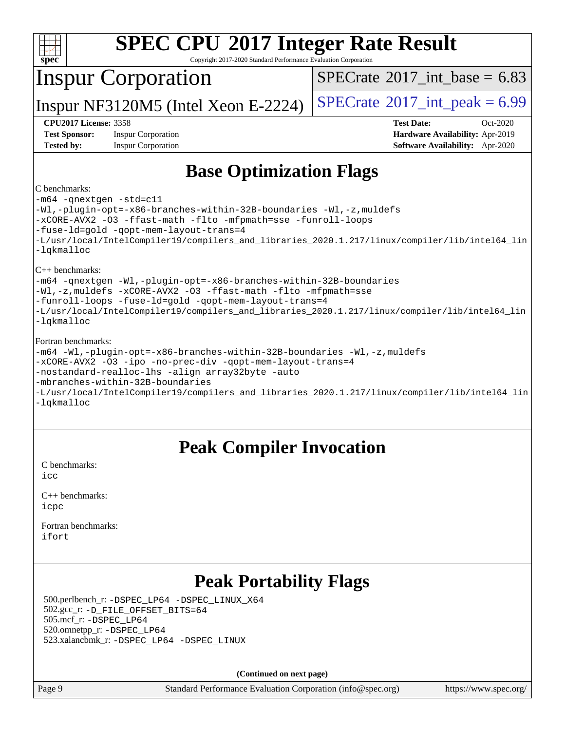| spe<br>c |  |  |  |  |  |  |
|----------|--|--|--|--|--|--|

Copyright 2017-2020 Standard Performance Evaluation Corporation

## Inspur Corporation

[SPECrate](http://www.spec.org/auto/cpu2017/Docs/result-fields.html#SPECrate2017intbase)®2017 int\_base =  $6.83$ 

Inspur NF3120M5 (Intel Xeon E-2224)  $|SPECrate^{\circ}2017\_int\_peak = 6.99$  $|SPECrate^{\circ}2017\_int\_peak = 6.99$  $|SPECrate^{\circ}2017\_int\_peak = 6.99$ 

**[Test Sponsor:](http://www.spec.org/auto/cpu2017/Docs/result-fields.html#TestSponsor)** Inspur Corporation **[Hardware Availability:](http://www.spec.org/auto/cpu2017/Docs/result-fields.html#HardwareAvailability)** Apr-2019 **[Tested by:](http://www.spec.org/auto/cpu2017/Docs/result-fields.html#Testedby)** Inspur Corporation **[Software Availability:](http://www.spec.org/auto/cpu2017/Docs/result-fields.html#SoftwareAvailability)** Apr-2020

**[CPU2017 License:](http://www.spec.org/auto/cpu2017/Docs/result-fields.html#CPU2017License)** 3358 **[Test Date:](http://www.spec.org/auto/cpu2017/Docs/result-fields.html#TestDate)** Oct-2020

### **[Base Optimization Flags](http://www.spec.org/auto/cpu2017/Docs/result-fields.html#BaseOptimizationFlags)**

#### [C benchmarks:](http://www.spec.org/auto/cpu2017/Docs/result-fields.html#Cbenchmarks)

[-m64](http://www.spec.org/cpu2017/results/res2020q4/cpu2017-20201109-24378.flags.html#user_CCbase_m64-icc) [-qnextgen](http://www.spec.org/cpu2017/results/res2020q4/cpu2017-20201109-24378.flags.html#user_CCbase_f-qnextgen) [-std=c11](http://www.spec.org/cpu2017/results/res2020q4/cpu2017-20201109-24378.flags.html#user_CCbase_std-icc-std_0e1c27790398a4642dfca32ffe6c27b5796f9c2d2676156f2e42c9c44eaad0c049b1cdb667a270c34d979996257aeb8fc440bfb01818dbc9357bd9d174cb8524) [-Wl,-plugin-opt=-x86-branches-within-32B-boundaries](http://www.spec.org/cpu2017/results/res2020q4/cpu2017-20201109-24378.flags.html#user_CCbase_f-x86-branches-within-32B-boundaries_0098b4e4317ae60947b7b728078a624952a08ac37a3c797dfb4ffeb399e0c61a9dd0f2f44ce917e9361fb9076ccb15e7824594512dd315205382d84209e912f3) [-Wl,-z,muldefs](http://www.spec.org/cpu2017/results/res2020q4/cpu2017-20201109-24378.flags.html#user_CCbase_link_force_multiple1_b4cbdb97b34bdee9ceefcfe54f4c8ea74255f0b02a4b23e853cdb0e18eb4525ac79b5a88067c842dd0ee6996c24547a27a4b99331201badda8798ef8a743f577) [-xCORE-AVX2](http://www.spec.org/cpu2017/results/res2020q4/cpu2017-20201109-24378.flags.html#user_CCbase_f-xCORE-AVX2) [-O3](http://www.spec.org/cpu2017/results/res2020q4/cpu2017-20201109-24378.flags.html#user_CCbase_f-O3) [-ffast-math](http://www.spec.org/cpu2017/results/res2020q4/cpu2017-20201109-24378.flags.html#user_CCbase_f-ffast-math) [-flto](http://www.spec.org/cpu2017/results/res2020q4/cpu2017-20201109-24378.flags.html#user_CCbase_f-flto) [-mfpmath=sse](http://www.spec.org/cpu2017/results/res2020q4/cpu2017-20201109-24378.flags.html#user_CCbase_f-mfpmath_70eb8fac26bde974f8ab713bc9086c5621c0b8d2f6c86f38af0bd7062540daf19db5f3a066d8c6684be05d84c9b6322eb3b5be6619d967835195b93d6c02afa1) [-funroll-loops](http://www.spec.org/cpu2017/results/res2020q4/cpu2017-20201109-24378.flags.html#user_CCbase_f-funroll-loops) [-fuse-ld=gold](http://www.spec.org/cpu2017/results/res2020q4/cpu2017-20201109-24378.flags.html#user_CCbase_f-fuse-ld_920b3586e2b8c6e0748b9c84fa9b744736ba725a32cab14ad8f3d4ad28eecb2f59d1144823d2e17006539a88734fe1fc08fc3035f7676166309105a78aaabc32) [-qopt-mem-layout-trans=4](http://www.spec.org/cpu2017/results/res2020q4/cpu2017-20201109-24378.flags.html#user_CCbase_f-qopt-mem-layout-trans_fa39e755916c150a61361b7846f310bcdf6f04e385ef281cadf3647acec3f0ae266d1a1d22d972a7087a248fd4e6ca390a3634700869573d231a252c784941a8) [-L/usr/local/IntelCompiler19/compilers\\_and\\_libraries\\_2020.1.217/linux/compiler/lib/intel64\\_lin](http://www.spec.org/cpu2017/results/res2020q4/cpu2017-20201109-24378.flags.html#user_CCbase_linkpath_2cb6f503891ebf8baee7515f4e7d4ec1217444d1d05903cc0091ac4158de400651d2b2313a9fa414cb8a8f0e16ab029634f5c6db340f400369c190d4db8a54a0) [-lqkmalloc](http://www.spec.org/cpu2017/results/res2020q4/cpu2017-20201109-24378.flags.html#user_CCbase_qkmalloc_link_lib_79a818439969f771c6bc311cfd333c00fc099dad35c030f5aab9dda831713d2015205805422f83de8875488a2991c0a156aaa600e1f9138f8fc37004abc96dc5) [C++ benchmarks:](http://www.spec.org/auto/cpu2017/Docs/result-fields.html#CXXbenchmarks) [-m64](http://www.spec.org/cpu2017/results/res2020q4/cpu2017-20201109-24378.flags.html#user_CXXbase_m64-icc) [-qnextgen](http://www.spec.org/cpu2017/results/res2020q4/cpu2017-20201109-24378.flags.html#user_CXXbase_f-qnextgen) [-Wl,-plugin-opt=-x86-branches-within-32B-boundaries](http://www.spec.org/cpu2017/results/res2020q4/cpu2017-20201109-24378.flags.html#user_CXXbase_f-x86-branches-within-32B-boundaries_0098b4e4317ae60947b7b728078a624952a08ac37a3c797dfb4ffeb399e0c61a9dd0f2f44ce917e9361fb9076ccb15e7824594512dd315205382d84209e912f3) [-Wl,-z,muldefs](http://www.spec.org/cpu2017/results/res2020q4/cpu2017-20201109-24378.flags.html#user_CXXbase_link_force_multiple1_b4cbdb97b34bdee9ceefcfe54f4c8ea74255f0b02a4b23e853cdb0e18eb4525ac79b5a88067c842dd0ee6996c24547a27a4b99331201badda8798ef8a743f577) [-xCORE-AVX2](http://www.spec.org/cpu2017/results/res2020q4/cpu2017-20201109-24378.flags.html#user_CXXbase_f-xCORE-AVX2) [-O3](http://www.spec.org/cpu2017/results/res2020q4/cpu2017-20201109-24378.flags.html#user_CXXbase_f-O3) [-ffast-math](http://www.spec.org/cpu2017/results/res2020q4/cpu2017-20201109-24378.flags.html#user_CXXbase_f-ffast-math) [-flto](http://www.spec.org/cpu2017/results/res2020q4/cpu2017-20201109-24378.flags.html#user_CXXbase_f-flto) [-mfpmath=sse](http://www.spec.org/cpu2017/results/res2020q4/cpu2017-20201109-24378.flags.html#user_CXXbase_f-mfpmath_70eb8fac26bde974f8ab713bc9086c5621c0b8d2f6c86f38af0bd7062540daf19db5f3a066d8c6684be05d84c9b6322eb3b5be6619d967835195b93d6c02afa1) [-funroll-loops](http://www.spec.org/cpu2017/results/res2020q4/cpu2017-20201109-24378.flags.html#user_CXXbase_f-funroll-loops) [-fuse-ld=gold](http://www.spec.org/cpu2017/results/res2020q4/cpu2017-20201109-24378.flags.html#user_CXXbase_f-fuse-ld_920b3586e2b8c6e0748b9c84fa9b744736ba725a32cab14ad8f3d4ad28eecb2f59d1144823d2e17006539a88734fe1fc08fc3035f7676166309105a78aaabc32) [-qopt-mem-layout-trans=4](http://www.spec.org/cpu2017/results/res2020q4/cpu2017-20201109-24378.flags.html#user_CXXbase_f-qopt-mem-layout-trans_fa39e755916c150a61361b7846f310bcdf6f04e385ef281cadf3647acec3f0ae266d1a1d22d972a7087a248fd4e6ca390a3634700869573d231a252c784941a8) [-L/usr/local/IntelCompiler19/compilers\\_and\\_libraries\\_2020.1.217/linux/compiler/lib/intel64\\_lin](http://www.spec.org/cpu2017/results/res2020q4/cpu2017-20201109-24378.flags.html#user_CXXbase_linkpath_2cb6f503891ebf8baee7515f4e7d4ec1217444d1d05903cc0091ac4158de400651d2b2313a9fa414cb8a8f0e16ab029634f5c6db340f400369c190d4db8a54a0) [-lqkmalloc](http://www.spec.org/cpu2017/results/res2020q4/cpu2017-20201109-24378.flags.html#user_CXXbase_qkmalloc_link_lib_79a818439969f771c6bc311cfd333c00fc099dad35c030f5aab9dda831713d2015205805422f83de8875488a2991c0a156aaa600e1f9138f8fc37004abc96dc5) [Fortran benchmarks](http://www.spec.org/auto/cpu2017/Docs/result-fields.html#Fortranbenchmarks): [-m64](http://www.spec.org/cpu2017/results/res2020q4/cpu2017-20201109-24378.flags.html#user_FCbase_m64-icc) [-Wl,-plugin-opt=-x86-branches-within-32B-boundaries](http://www.spec.org/cpu2017/results/res2020q4/cpu2017-20201109-24378.flags.html#user_FCbase_f-x86-branches-within-32B-boundaries_0098b4e4317ae60947b7b728078a624952a08ac37a3c797dfb4ffeb399e0c61a9dd0f2f44ce917e9361fb9076ccb15e7824594512dd315205382d84209e912f3) [-Wl,-z,muldefs](http://www.spec.org/cpu2017/results/res2020q4/cpu2017-20201109-24378.flags.html#user_FCbase_link_force_multiple1_b4cbdb97b34bdee9ceefcfe54f4c8ea74255f0b02a4b23e853cdb0e18eb4525ac79b5a88067c842dd0ee6996c24547a27a4b99331201badda8798ef8a743f577) [-xCORE-AVX2](http://www.spec.org/cpu2017/results/res2020q4/cpu2017-20201109-24378.flags.html#user_FCbase_f-xCORE-AVX2) [-O3](http://www.spec.org/cpu2017/results/res2020q4/cpu2017-20201109-24378.flags.html#user_FCbase_f-O3) [-ipo](http://www.spec.org/cpu2017/results/res2020q4/cpu2017-20201109-24378.flags.html#user_FCbase_f-ipo) [-no-prec-div](http://www.spec.org/cpu2017/results/res2020q4/cpu2017-20201109-24378.flags.html#user_FCbase_f-no-prec-div) [-qopt-mem-layout-trans=4](http://www.spec.org/cpu2017/results/res2020q4/cpu2017-20201109-24378.flags.html#user_FCbase_f-qopt-mem-layout-trans_fa39e755916c150a61361b7846f310bcdf6f04e385ef281cadf3647acec3f0ae266d1a1d22d972a7087a248fd4e6ca390a3634700869573d231a252c784941a8) [-nostandard-realloc-lhs](http://www.spec.org/cpu2017/results/res2020q4/cpu2017-20201109-24378.flags.html#user_FCbase_f_2003_std_realloc_82b4557e90729c0f113870c07e44d33d6f5a304b4f63d4c15d2d0f1fab99f5daaed73bdb9275d9ae411527f28b936061aa8b9c8f2d63842963b95c9dd6426b8a) [-align array32byte](http://www.spec.org/cpu2017/results/res2020q4/cpu2017-20201109-24378.flags.html#user_FCbase_align_array32byte_b982fe038af199962ba9a80c053b8342c548c85b40b8e86eb3cc33dee0d7986a4af373ac2d51c3f7cf710a18d62fdce2948f201cd044323541f22fc0fffc51b6) [-auto](http://www.spec.org/cpu2017/results/res2020q4/cpu2017-20201109-24378.flags.html#user_FCbase_f-auto)

[-mbranches-within-32B-boundaries](http://www.spec.org/cpu2017/results/res2020q4/cpu2017-20201109-24378.flags.html#user_FCbase_f-mbranches-within-32B-boundaries)

[-L/usr/local/IntelCompiler19/compilers\\_and\\_libraries\\_2020.1.217/linux/compiler/lib/intel64\\_lin](http://www.spec.org/cpu2017/results/res2020q4/cpu2017-20201109-24378.flags.html#user_FCbase_linkpath_2cb6f503891ebf8baee7515f4e7d4ec1217444d1d05903cc0091ac4158de400651d2b2313a9fa414cb8a8f0e16ab029634f5c6db340f400369c190d4db8a54a0) [-lqkmalloc](http://www.spec.org/cpu2017/results/res2020q4/cpu2017-20201109-24378.flags.html#user_FCbase_qkmalloc_link_lib_79a818439969f771c6bc311cfd333c00fc099dad35c030f5aab9dda831713d2015205805422f83de8875488a2991c0a156aaa600e1f9138f8fc37004abc96dc5)

### **[Peak Compiler Invocation](http://www.spec.org/auto/cpu2017/Docs/result-fields.html#PeakCompilerInvocation)**

[C benchmarks](http://www.spec.org/auto/cpu2017/Docs/result-fields.html#Cbenchmarks): [icc](http://www.spec.org/cpu2017/results/res2020q4/cpu2017-20201109-24378.flags.html#user_CCpeak_intel_icc_66fc1ee009f7361af1fbd72ca7dcefbb700085f36577c54f309893dd4ec40d12360134090235512931783d35fd58c0460139e722d5067c5574d8eaf2b3e37e92)

| $C_{++}$ benchmarks: |  |
|----------------------|--|
| icpc                 |  |

[Fortran benchmarks](http://www.spec.org/auto/cpu2017/Docs/result-fields.html#Fortranbenchmarks): [ifort](http://www.spec.org/cpu2017/results/res2020q4/cpu2017-20201109-24378.flags.html#user_FCpeak_intel_ifort_8111460550e3ca792625aed983ce982f94888b8b503583aa7ba2b8303487b4d8a21a13e7191a45c5fd58ff318f48f9492884d4413fa793fd88dd292cad7027ca)

## **[Peak Portability Flags](http://www.spec.org/auto/cpu2017/Docs/result-fields.html#PeakPortabilityFlags)**

 500.perlbench\_r: [-DSPEC\\_LP64](http://www.spec.org/cpu2017/results/res2020q4/cpu2017-20201109-24378.flags.html#b500.perlbench_r_peakPORTABILITY_DSPEC_LP64) [-DSPEC\\_LINUX\\_X64](http://www.spec.org/cpu2017/results/res2020q4/cpu2017-20201109-24378.flags.html#b500.perlbench_r_peakCPORTABILITY_DSPEC_LINUX_X64) 502.gcc\_r: [-D\\_FILE\\_OFFSET\\_BITS=64](http://www.spec.org/cpu2017/results/res2020q4/cpu2017-20201109-24378.flags.html#user_peakPORTABILITY502_gcc_r_file_offset_bits_64_5ae949a99b284ddf4e95728d47cb0843d81b2eb0e18bdfe74bbf0f61d0b064f4bda2f10ea5eb90e1dcab0e84dbc592acfc5018bc955c18609f94ddb8d550002c) 505.mcf\_r: [-DSPEC\\_LP64](http://www.spec.org/cpu2017/results/res2020q4/cpu2017-20201109-24378.flags.html#suite_peakPORTABILITY505_mcf_r_DSPEC_LP64) 520.omnetpp\_r: [-DSPEC\\_LP64](http://www.spec.org/cpu2017/results/res2020q4/cpu2017-20201109-24378.flags.html#suite_peakPORTABILITY520_omnetpp_r_DSPEC_LP64) 523.xalancbmk\_r: [-DSPEC\\_LP64](http://www.spec.org/cpu2017/results/res2020q4/cpu2017-20201109-24378.flags.html#suite_peakPORTABILITY523_xalancbmk_r_DSPEC_LP64) [-DSPEC\\_LINUX](http://www.spec.org/cpu2017/results/res2020q4/cpu2017-20201109-24378.flags.html#b523.xalancbmk_r_peakCXXPORTABILITY_DSPEC_LINUX)

**(Continued on next page)**

Page 9 Standard Performance Evaluation Corporation [\(info@spec.org\)](mailto:info@spec.org) <https://www.spec.org/>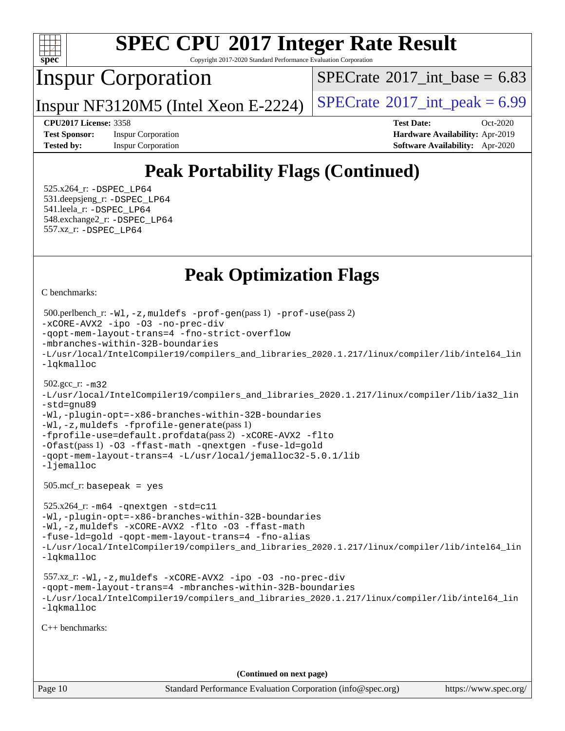

Copyright 2017-2020 Standard Performance Evaluation Corporation

## Inspur Corporation

[SPECrate](http://www.spec.org/auto/cpu2017/Docs/result-fields.html#SPECrate2017intbase)<sup>®</sup>2017 int\_base = 6.83

Inspur NF3120M5 (Intel Xeon E-2224)  $|SPECrate^{\circ}2017\_int\_peak = 6.99$  $|SPECrate^{\circ}2017\_int\_peak = 6.99$  $|SPECrate^{\circ}2017\_int\_peak = 6.99$ 

**[Test Sponsor:](http://www.spec.org/auto/cpu2017/Docs/result-fields.html#TestSponsor)** Inspur Corporation **[Hardware Availability:](http://www.spec.org/auto/cpu2017/Docs/result-fields.html#HardwareAvailability)** Apr-2019

**[CPU2017 License:](http://www.spec.org/auto/cpu2017/Docs/result-fields.html#CPU2017License)** 3358 **[Test Date:](http://www.spec.org/auto/cpu2017/Docs/result-fields.html#TestDate)** Oct-2020 **[Tested by:](http://www.spec.org/auto/cpu2017/Docs/result-fields.html#Testedby)** Inspur Corporation **[Software Availability:](http://www.spec.org/auto/cpu2017/Docs/result-fields.html#SoftwareAvailability)** Apr-2020

# **[Peak Portability Flags \(Continued\)](http://www.spec.org/auto/cpu2017/Docs/result-fields.html#PeakPortabilityFlags)**

 525.x264\_r: [-DSPEC\\_LP64](http://www.spec.org/cpu2017/results/res2020q4/cpu2017-20201109-24378.flags.html#suite_peakPORTABILITY525_x264_r_DSPEC_LP64) 531.deepsjeng\_r: [-DSPEC\\_LP64](http://www.spec.org/cpu2017/results/res2020q4/cpu2017-20201109-24378.flags.html#suite_peakPORTABILITY531_deepsjeng_r_DSPEC_LP64) 541.leela\_r: [-DSPEC\\_LP64](http://www.spec.org/cpu2017/results/res2020q4/cpu2017-20201109-24378.flags.html#suite_peakPORTABILITY541_leela_r_DSPEC_LP64) 548.exchange2\_r: [-DSPEC\\_LP64](http://www.spec.org/cpu2017/results/res2020q4/cpu2017-20201109-24378.flags.html#suite_peakPORTABILITY548_exchange2_r_DSPEC_LP64) 557.xz\_r: [-DSPEC\\_LP64](http://www.spec.org/cpu2017/results/res2020q4/cpu2017-20201109-24378.flags.html#suite_peakPORTABILITY557_xz_r_DSPEC_LP64)

## **[Peak Optimization Flags](http://www.spec.org/auto/cpu2017/Docs/result-fields.html#PeakOptimizationFlags)**

[C benchmarks](http://www.spec.org/auto/cpu2017/Docs/result-fields.html#Cbenchmarks):

```
Page 10 Standard Performance Evaluation Corporation (info@spec.org) https://www.spec.org/
  500.perlbench_r: -Wl,-z,muldefs -prof-gen(pass 1) -prof-use(pass 2)
-xCORE-AVX2 -ipo -O3 -no-prec-div
-qopt-mem-layout-trans=4 -fno-strict-overflow
-mbranches-within-32B-boundaries
-L/usr/local/IntelCompiler19/compilers_and_libraries_2020.1.217/linux/compiler/lib/intel64_lin
-lqkmalloc
  502.gcc_r: -m32
-L/usr/local/IntelCompiler19/compilers_and_libraries_2020.1.217/linux/compiler/lib/ia32_lin
-std=gnu89
-Wl,-plugin-opt=-x86-branches-within-32B-boundaries
-Wl,-z,muldefs -fprofile-generate(pass 1)
-fprofile-use=default.profdata(pass 2) -xCORE-AVX2 -flto
-Ofast(pass 1) -O3 -ffast-math -qnextgen -fuse-ld=gold
-qopt-mem-layout-trans=4 -L/usr/local/jemalloc32-5.0.1/lib
-ljemalloc
  505.mcf_r: basepeak = yes
  525.x264_r: -m64 -qnextgen -std=c11
-Wl,-plugin-opt=-x86-branches-within-32B-boundaries
-Wl,-z,muldefs -xCORE-AVX2 -flto -O3 -ffast-math
-fuse-ld=gold -qopt-mem-layout-trans=4 -fno-alias
-L/usr/local/IntelCompiler19/compilers_and_libraries_2020.1.217/linux/compiler/lib/intel64_lin
-lqkmalloc
  557.xz_r: -Wl,-z,muldefs -xCORE-AVX2 -ipo -O3 -no-prec-div
-qopt-mem-layout-trans=4 -mbranches-within-32B-boundaries
-L/usr/local/IntelCompiler19/compilers_and_libraries_2020.1.217/linux/compiler/lib/intel64_lin
-lqkmalloc
C++ benchmarks: 
                                       (Continued on next page)
```